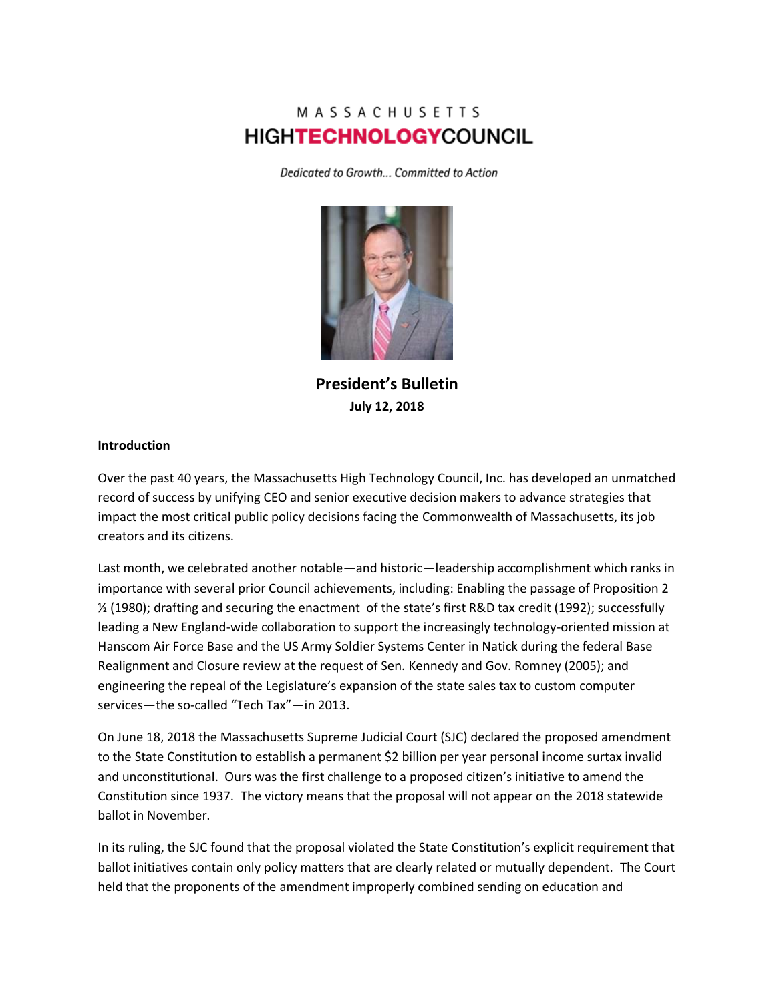# MASSACHUSETTS **HIGHTECHNOLOGYCOUNCIL**

Dedicated to Growth... Committed to Action



**President's Bulletin July 12, 2018**

#### **Introduction**

Over the past 40 years, the Massachusetts High Technology Council, Inc. has developed an unmatched record of success by unifying CEO and senior executive decision makers to advance strategies that impact the most critical public policy decisions facing the Commonwealth of Massachusetts, its job creators and its citizens.

Last month, we celebrated another notable—and historic—leadership accomplishment which ranks in importance with several prior Council achievements, including: Enabling the passage of Proposition 2 ½ (1980); drafting and securing the enactment of the state's first R&D tax credit (1992); successfully leading a New England-wide collaboration to support the increasingly technology-oriented mission at Hanscom Air Force Base and the US Army Soldier Systems Center in Natick during the federal Base Realignment and Closure review at the request of Sen. Kennedy and Gov. Romney (2005); and engineering the repeal of the Legislature's expansion of the state sales tax to custom computer services—the so-called "Tech Tax"—in 2013.

On June 18, 2018 the Massachusetts Supreme Judicial Court (SJC) declared the proposed amendment to the State Constitution to establish a permanent \$2 billion per year personal income surtax invalid and unconstitutional. Ours was the first challenge to a proposed citizen's initiative to amend the Constitution since 1937. The victory means that the proposal will not appear on the 2018 statewide ballot in November.

In its ruling, the SJC found that the proposal violated the State Constitution's explicit requirement that ballot initiatives contain only policy matters that are clearly related or mutually dependent. The Court held that the proponents of the amendment improperly combined sending on education and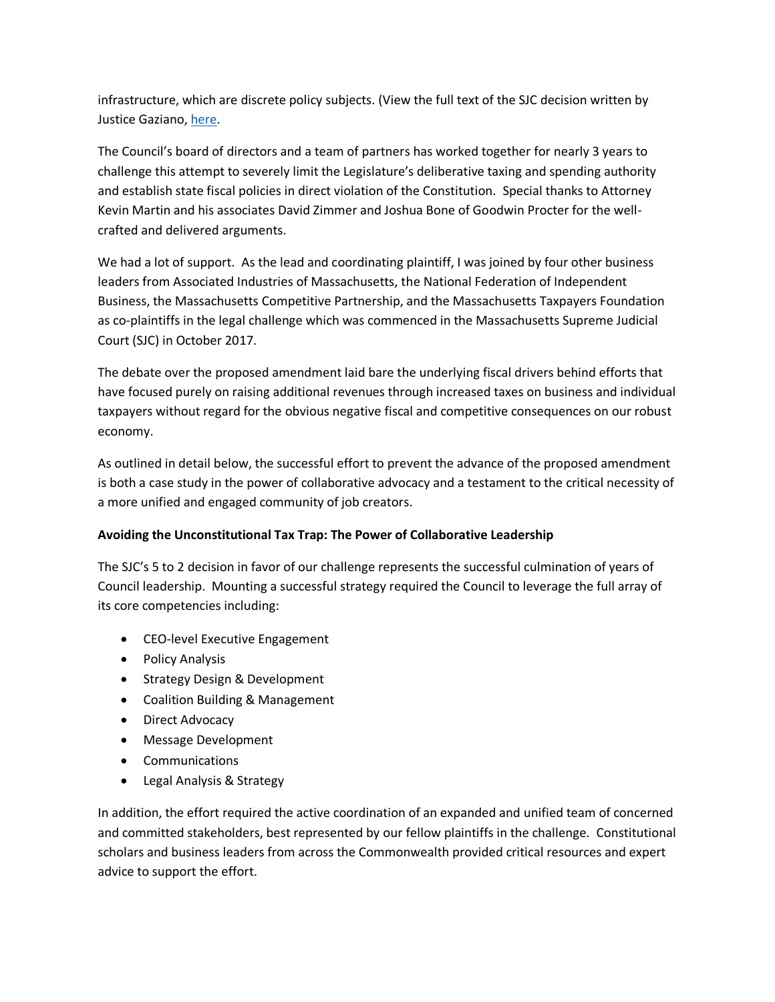infrastructure, which are discrete policy subjects. (View the full text of the SJC decision written by Justice Gaziano, [here.](https://www.mass.gov/files/documents/2018/06/18/124b22.pdf)

The Council's board of directors and a team of partners has worked together for nearly 3 years to challenge this attempt to severely limit the Legislature's deliberative taxing and spending authority and establish state fiscal policies in direct violation of the Constitution. Special thanks to Attorney Kevin Martin and his associates David Zimmer and Joshua Bone of Goodwin Procter for the wellcrafted and delivered arguments.

We had a lot of support. As the lead and coordinating plaintiff, I was joined by four other business leaders from Associated Industries of Massachusetts, the National Federation of Independent Business, the Massachusetts Competitive Partnership, and the Massachusetts Taxpayers Foundation as co-plaintiffs in the legal challenge which was commenced in the Massachusetts Supreme Judicial Court (SJC) in October 2017.

The debate over the proposed amendment laid bare the underlying fiscal drivers behind efforts that have focused purely on raising additional revenues through increased taxes on business and individual taxpayers without regard for the obvious negative fiscal and competitive consequences on our robust economy.

As outlined in detail below, the successful effort to prevent the advance of the proposed amendment is both a case study in the power of collaborative advocacy and a testament to the critical necessity of a more unified and engaged community of job creators.

# **Avoiding the Unconstitutional Tax Trap: The Power of Collaborative Leadership**

The SJC's 5 to 2 decision in favor of our challenge represents the successful culmination of years of Council leadership. Mounting a successful strategy required the Council to leverage the full array of its core competencies including:

- CEO-level Executive Engagement
- Policy Analysis
- Strategy Design & Development
- Coalition Building & Management
- Direct Advocacy
- Message Development
- Communications
- Legal Analysis & Strategy

In addition, the effort required the active coordination of an expanded and unified team of concerned and committed stakeholders, best represented by our fellow plaintiffs in the challenge. Constitutional scholars and business leaders from across the Commonwealth provided critical resources and expert advice to support the effort.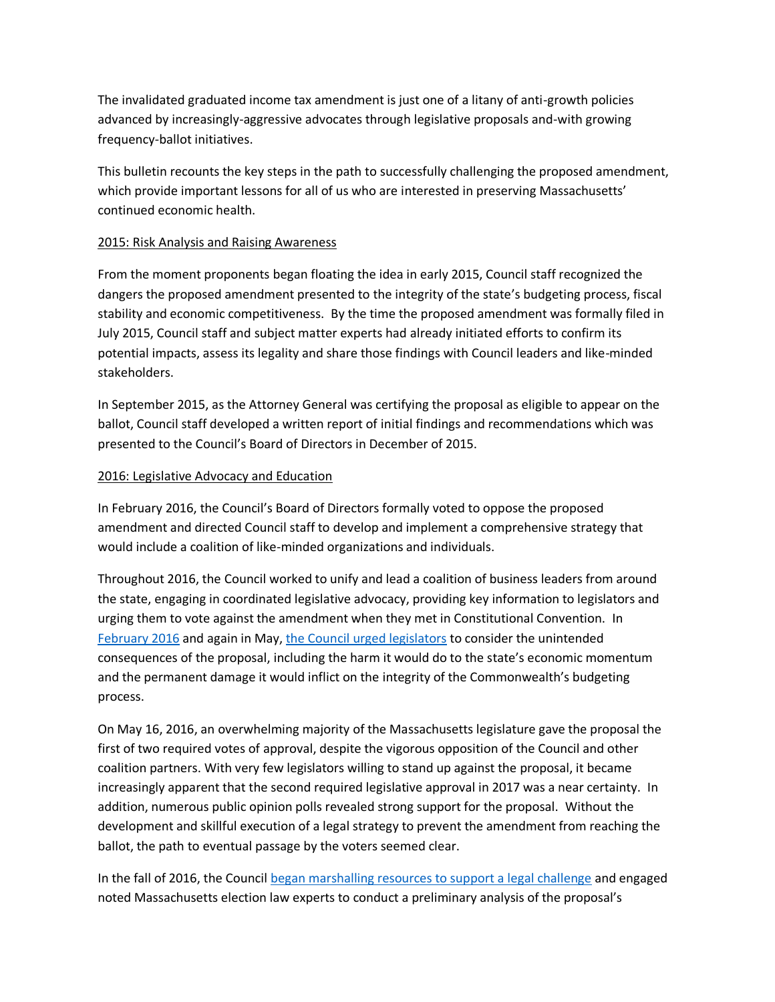The invalidated graduated income tax amendment is just one of a litany of anti-growth policies advanced by increasingly-aggressive advocates through legislative proposals and-with growing frequency-ballot initiatives.

This bulletin recounts the key steps in the path to successfully challenging the proposed amendment, which provide important lessons for all of us who are interested in preserving Massachusetts' continued economic health.

#### 2015: Risk Analysis and Raising Awareness

From the moment proponents began floating the idea in early 2015, Council staff recognized the dangers the proposed amendment presented to the integrity of the state's budgeting process, fiscal stability and economic competitiveness. By the time the proposed amendment was formally filed in July 2015, Council staff and subject matter experts had already initiated efforts to confirm its potential impacts, assess its legality and share those findings with Council leaders and like-minded stakeholders.

In September 2015, as the Attorney General was certifying the proposal as eligible to appear on the ballot, Council staff developed a written report of initial findings and recommendations which was presented to the Council's Board of Directors in December of 2015.

## 2016: Legislative Advocacy and Education

In February 2016, the Council's Board of Directors formally voted to oppose the proposed amendment and directed Council staff to develop and implement a comprehensive strategy that would include a coalition of like-minded organizations and individuals.

Throughout 2016, the Council worked to unify and lead a coalition of business leaders from around the state, engaging in coordinated legislative advocacy, providing key information to legislators and urging them to vote against the amendment when they met in Constitutional Convention. In [February 2016](http://www.mhtc.org/wp-content/uploads/2016/03/MHTC_Letter-to-House-re-Graduated-Income-Tax-2.3.16-FINAL.pdf) and again in May, [the Council urged legislators](http://www.mhtc.org/wp-content/uploads/2016/05/MHTC_Letter-to-Senate-re-Graduated-Income-Tax-5.17.16-FINAL-PDF.pdf) to consider the unintended consequences of the proposal, including the harm it would do to the state's economic momentum and the permanent damage it would inflict on the integrity of the Commonwealth's budgeting process.

On May 16, 2016, an overwhelming majority of the Massachusetts legislature gave the proposal the first of two required votes of approval, despite the vigorous opposition of the Council and other coalition partners. With very few legislators willing to stand up against the proposal, it became increasingly apparent that the second required legislative approval in 2017 was a near certainty. In addition, numerous public opinion polls revealed strong support for the proposal. Without the development and skillful execution of a legal strategy to prevent the amendment from reaching the ballot, the path to eventual passage by the voters seemed clear.

In the fall of 2016, the Council [began marshalling resources to support a legal challenge](http://www.bostonglobe.com/metro/2016/10/19/business-group-aims-kill-millionaires-tax/UEMIFQOHmBjzIbTNsBSiEI/story.html) and engaged noted Massachusetts election law experts to conduct a preliminary analysis of the proposal's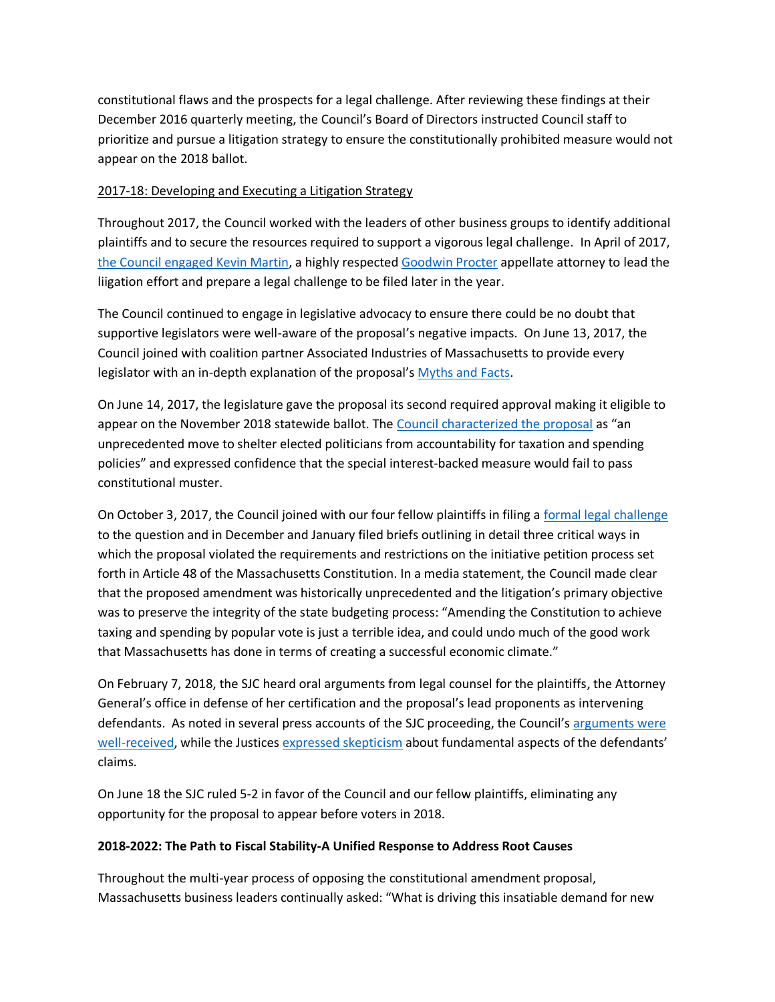constitutional flaws and the prospects for a legal challenge. After reviewing these findings at their December 2016 quarterly meeting, the Council's Board of Directors instructed Council staff to prioritize and pursue a litigation strategy to ensure the constitutionally prohibited measure would not appear on the 2018 ballot.

## 2017-18: Developing and Executing a Litigation Strategy

Throughout 2017, the Council worked with the leaders of other business groups to identify additional plaintiffs and to secure the resources required to support a vigorous legal challenge. In April of 2017, [the Council engaged Kevin Martin,](http://www.mhtc.org/tech-industry-group-hires-law-firm-to-challenge-millionaires-tax/) a highly respected [Goodwin Procter](https://www.goodwinlaw.com/) appellate attorney to lead the liigation effort and prepare a legal challenge to be filed later in the year.

The Council continued to engage in legislative advocacy to ensure there could be no doubt that supportive legislators were well-aware of the proposal's negative impacts. On June 13, 2017, the Council joined with coalition partner Associated Industries of Massachusetts to provide every legislator with an in-depth explanation of the proposal's [Myths and Facts.](http://www.mhtc.org/wp-content/uploads/2017/05/Const.-Amendment-Myths-and-Facts-Document-5.9.17-FINAL.pdf)

On June 14, 2017, the legislature gave the proposal its second required approval making it eligible to appear on the November 2018 statewide ballot. The [Council characterized the proposal](http://www.mhtc.org/wp-content/uploads/2017/06/MHTC-Statement-on-Constitutional-Amendment-Tax-6.14.17-FINAL.pdf) as "an unprecedented move to shelter elected politicians from accountability for taxation and spending policies" and expressed confidence that the special interest-backed measure would fail to pass constitutional muster.

On October 3, 2017, the Council joined with our four fellow plaintiffs in filing [a formal legal challenge](http://www.mhtc.org/wp-content/uploads/2017/10/MHTC-Complaint-Final.pdf) to the question and in December and January filed briefs outlining in detail three critical ways in which the proposal violated the requirements and restrictions on the initiative petition process set forth in Article 48 of the Massachusetts Constitution. In a media statement, the Council made clear that the proposed amendment was historically unprecedented and the litigation's primary objective was to preserve the integrity of the state budgeting process: "Amending the Constitution to achieve taxing and spending by popular vote is just a terrible idea, and could undo much of the good work that Massachusetts has done in terms of creating a successful economic climate."

On February 7, 2018, the SJC heard oral arguments from legal counsel for the plaintiffs, the Attorney General's office in defense of her certification and the proposal's lead proponents as intervening defendants. As noted in several press accounts of the SJC proceeding, the Council's arguments were [well-received,](http://www.mhtc.org/wp-content/uploads/2018/02/BostonGlobe_JudgesScrutinizeIncomeTaxSurcharge_Chesto_02062018.pdf) while the Justices [expressed skepticism](http://www.mhtc.org/wp-content/uploads/2018/02/BBJ_SJCJusticesQuestionDesignofMillionairesTaxProposal_02062018.pdf) about fundamental aspects of the defendants' claims.

On June 18 the SJC ruled 5-2 in favor of the Council and our fellow plaintiffs, eliminating any opportunity for the proposal to appear before voters in 2018.

# **2018-2022: The Path to Fiscal Stability-A Unified Response to Address Root Causes**

Throughout the multi-year process of opposing the constitutional amendment proposal, Massachusetts business leaders continually asked: "What is driving this insatiable demand for new